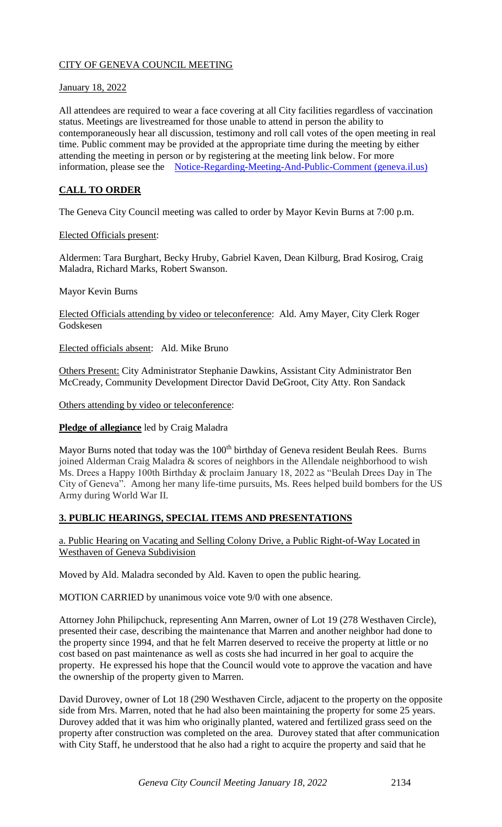# CITY OF GENEVA COUNCIL MEETING

# January 18, 2022

All attendees are required to wear a face covering at all City facilities regardless of vaccination status. Meetings are livestreamed for those unable to attend in person the ability to contemporaneously hear all discussion, testimony and roll call votes of the open meeting in real time. Public comment may be provided at the appropriate time during the meeting by either attending the meeting in person or by registering at the meeting link below. For more information, please see the [Notice-Regarding-Meeting-And-Public-Comment \(geneva.il.us\)](https://www.geneva.il.us/DocumentCenter/View/8694/Notice-Regarding-Meeting-And-Public-Comment)

# **CALL TO ORDER**

The Geneva City Council meeting was called to order by Mayor Kevin Burns at 7:00 p.m.

### Elected Officials present:

Aldermen: Tara Burghart, Becky Hruby, Gabriel Kaven, Dean Kilburg, Brad Kosirog, Craig Maladra, Richard Marks, Robert Swanson.

Mayor Kevin Burns

Elected Officials attending by video or teleconference: Ald. Amy Mayer, City Clerk Roger Godskesen

Elected officials absent: Ald. Mike Bruno

Others Present: City Administrator Stephanie Dawkins, Assistant City Administrator Ben McCready, Community Development Director David DeGroot, City Atty. Ron Sandack

Others attending by video or teleconference:

#### **Pledge of allegiance** led by Craig Maladra

Mayor Burns noted that today was the 100<sup>th</sup> birthday of Geneva resident Beulah Rees. Burns joined Alderman Craig Maladra & scores of neighbors in the Allendale neighborhood to wish Ms. Drees a Happy 100th Birthday & proclaim January 18, 2022 as "Beulah Drees Day in The City of Geneva". Among her many life-time pursuits, Ms. Rees helped build bombers for the US Army during World War II.

# **3. PUBLIC HEARINGS, SPECIAL ITEMS AND PRESENTATIONS**

a. Public Hearing on Vacating and Selling Colony Drive, a Public Right-of-Way Located in Westhaven of Geneva Subdivision

Moved by Ald. Maladra seconded by Ald. Kaven to open the public hearing.

MOTION CARRIED by unanimous voice vote 9/0 with one absence.

Attorney John Philipchuck, representing Ann Marren, owner of Lot 19 (278 Westhaven Circle), presented their case, describing the maintenance that Marren and another neighbor had done to the property since 1994, and that he felt Marren deserved to receive the property at little or no cost based on past maintenance as well as costs she had incurred in her goal to acquire the property. He expressed his hope that the Council would vote to approve the vacation and have the ownership of the property given to Marren.

David Durovey, owner of Lot 18 (290 Westhaven Circle, adjacent to the property on the opposite side from Mrs. Marren, noted that he had also been maintaining the property for some 25 years. Durovey added that it was him who originally planted, watered and fertilized grass seed on the property after construction was completed on the area. Durovey stated that after communication with City Staff, he understood that he also had a right to acquire the property and said that he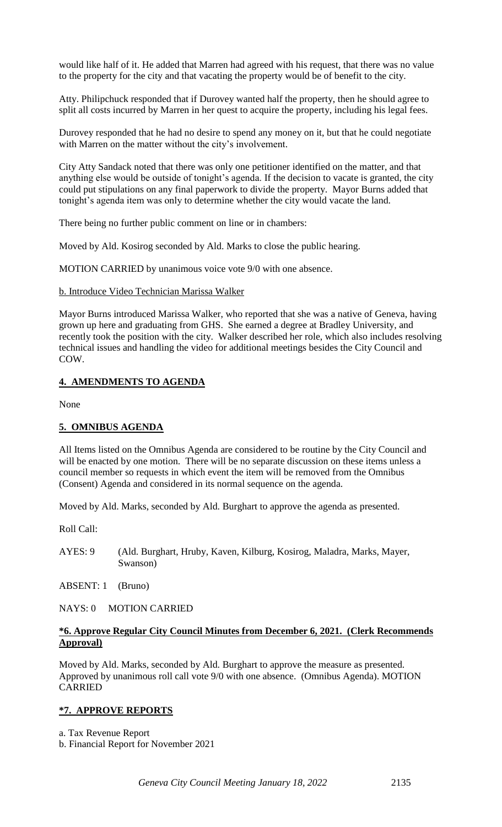would like half of it. He added that Marren had agreed with his request, that there was no value to the property for the city and that vacating the property would be of benefit to the city.

Atty. Philipchuck responded that if Durovey wanted half the property, then he should agree to split all costs incurred by Marren in her quest to acquire the property, including his legal fees.

Durovey responded that he had no desire to spend any money on it, but that he could negotiate with Marren on the matter without the city's involvement.

City Atty Sandack noted that there was only one petitioner identified on the matter, and that anything else would be outside of tonight's agenda. If the decision to vacate is granted, the city could put stipulations on any final paperwork to divide the property. Mayor Burns added that tonight's agenda item was only to determine whether the city would vacate the land.

There being no further public comment on line or in chambers:

Moved by Ald. Kosirog seconded by Ald. Marks to close the public hearing.

MOTION CARRIED by unanimous voice vote 9/0 with one absence.

### b. Introduce Video Technician Marissa Walker

Mayor Burns introduced Marissa Walker, who reported that she was a native of Geneva, having grown up here and graduating from GHS. She earned a degree at Bradley University, and recently took the position with the city. Walker described her role, which also includes resolving technical issues and handling the video for additional meetings besides the City Council and COW.

### **4. AMENDMENTS TO AGENDA**

None

#### **5. OMNIBUS AGENDA**

All Items listed on the Omnibus Agenda are considered to be routine by the City Council and will be enacted by one motion. There will be no separate discussion on these items unless a council member so requests in which event the item will be removed from the Omnibus (Consent) Agenda and considered in its normal sequence on the agenda.

Moved by Ald. Marks, seconded by Ald. Burghart to approve the agenda as presented.

Roll Call:

AYES: 9 (Ald. Burghart, Hruby, Kaven, Kilburg, Kosirog, Maladra, Marks, Mayer, Swanson)

ABSENT: 1 (Bruno)

NAYS: 0 MOTION CARRIED

#### **\*6. Approve Regular City Council Minutes from December 6, 2021. (Clerk Recommends Approval)**

Moved by Ald. Marks, seconded by Ald. Burghart to approve the measure as presented. Approved by unanimous roll call vote 9/0 with one absence. (Omnibus Agenda). MOTION CARRIED

# **\*7. APPROVE REPORTS**

a. Tax Revenue Report

b. Financial Report for November 2021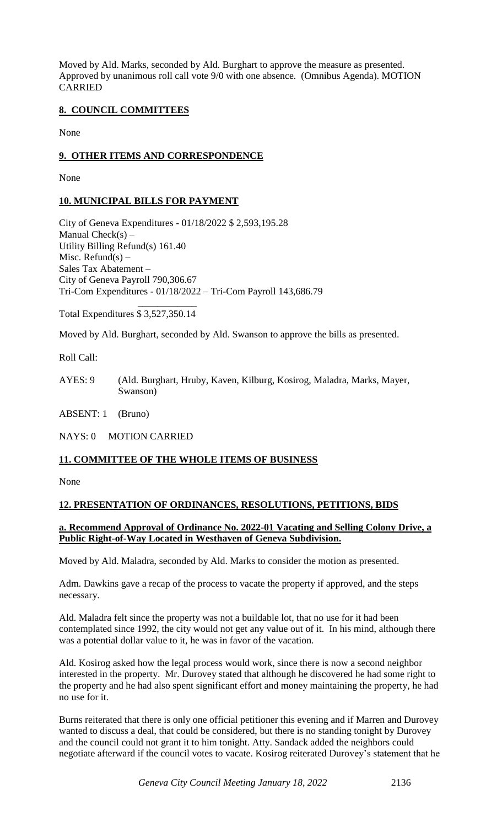Moved by Ald. Marks, seconded by Ald. Burghart to approve the measure as presented. Approved by unanimous roll call vote 9/0 with one absence. (Omnibus Agenda). MOTION CARRIED

# **8. COUNCIL COMMITTEES**

None

# **9. OTHER ITEMS AND CORRESPONDENCE**

None

# **10. MUNICIPAL BILLS FOR PAYMENT**

City of Geneva Expenditures - 01/18/2022 \$ 2,593,195.28 Manual  $Check(s) -$ Utility Billing Refund(s) 161.40 Misc. Refund(s)  $-$ Sales Tax Abatement – City of Geneva Payroll 790,306.67 Tri-Com Expenditures - 01/18/2022 – Tri-Com Payroll 143,686.79

 $\frac{1}{2}$  , and the set of  $\frac{1}{2}$  , and the set of  $\frac{1}{2}$ Total Expenditures \$ 3,527,350.14

Moved by Ald. Burghart, seconded by Ald. Swanson to approve the bills as presented.

Roll Call:

AYES: 9 (Ald. Burghart, Hruby, Kaven, Kilburg, Kosirog, Maladra, Marks, Mayer, Swanson)

ABSENT: 1 (Bruno)

NAYS: 0 MOTION CARRIED

#### **11. COMMITTEE OF THE WHOLE ITEMS OF BUSINESS**

None

#### **12. PRESENTATION OF ORDINANCES, RESOLUTIONS, PETITIONS, BIDS**

### **a. Recommend Approval of Ordinance No. 2022-01 Vacating and Selling Colony Drive, a Public Right-of-Way Located in Westhaven of Geneva Subdivision.**

Moved by Ald. Maladra, seconded by Ald. Marks to consider the motion as presented.

Adm. Dawkins gave a recap of the process to vacate the property if approved, and the steps necessary.

Ald. Maladra felt since the property was not a buildable lot, that no use for it had been contemplated since 1992, the city would not get any value out of it. In his mind, although there was a potential dollar value to it, he was in favor of the vacation.

Ald. Kosirog asked how the legal process would work, since there is now a second neighbor interested in the property. Mr. Durovey stated that although he discovered he had some right to the property and he had also spent significant effort and money maintaining the property, he had no use for it.

Burns reiterated that there is only one official petitioner this evening and if Marren and Durovey wanted to discuss a deal, that could be considered, but there is no standing tonight by Durovey and the council could not grant it to him tonight. Atty. Sandack added the neighbors could negotiate afterward if the council votes to vacate. Kosirog reiterated Durovey's statement that he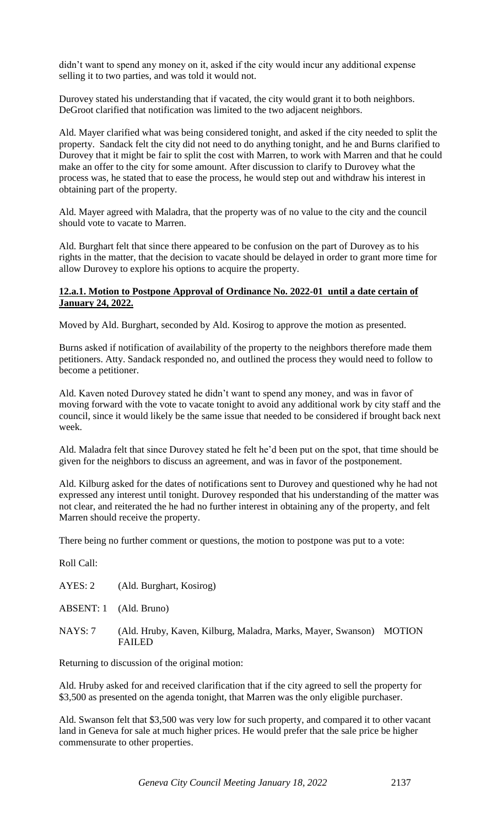didn't want to spend any money on it, asked if the city would incur any additional expense selling it to two parties, and was told it would not.

Durovey stated his understanding that if vacated, the city would grant it to both neighbors. DeGroot clarified that notification was limited to the two adjacent neighbors.

Ald. Mayer clarified what was being considered tonight, and asked if the city needed to split the property. Sandack felt the city did not need to do anything tonight, and he and Burns clarified to Durovey that it might be fair to split the cost with Marren, to work with Marren and that he could make an offer to the city for some amount. After discussion to clarify to Durovey what the process was, he stated that to ease the process, he would step out and withdraw his interest in obtaining part of the property.

Ald. Mayer agreed with Maladra, that the property was of no value to the city and the council should vote to vacate to Marren.

Ald. Burghart felt that since there appeared to be confusion on the part of Durovey as to his rights in the matter, that the decision to vacate should be delayed in order to grant more time for allow Durovey to explore his options to acquire the property.

### **12.a.1. Motion to Postpone Approval of Ordinance No. 2022-01 until a date certain of January 24, 2022.**

Moved by Ald. Burghart, seconded by Ald. Kosirog to approve the motion as presented.

Burns asked if notification of availability of the property to the neighbors therefore made them petitioners. Atty. Sandack responded no, and outlined the process they would need to follow to become a petitioner.

Ald. Kaven noted Durovey stated he didn't want to spend any money, and was in favor of moving forward with the vote to vacate tonight to avoid any additional work by city staff and the council, since it would likely be the same issue that needed to be considered if brought back next week.

Ald. Maladra felt that since Durovey stated he felt he'd been put on the spot, that time should be given for the neighbors to discuss an agreement, and was in favor of the postponement.

Ald. Kilburg asked for the dates of notifications sent to Durovey and questioned why he had not expressed any interest until tonight. Durovey responded that his understanding of the matter was not clear, and reiterated the he had no further interest in obtaining any of the property, and felt Marren should receive the property.

There being no further comment or questions, the motion to postpone was put to a vote:

Roll Call:

| AYES: 2 | (Ald. Burghart, Kosirog)                                                             |  |
|---------|--------------------------------------------------------------------------------------|--|
|         | ABSENT: 1 (Ald. Bruno)                                                               |  |
| NAYS: 7 | (Ald. Hruby, Kaven, Kilburg, Maladra, Marks, Mayer, Swanson) MOTION<br><b>FAILED</b> |  |

Returning to discussion of the original motion:

Ald. Hruby asked for and received clarification that if the city agreed to sell the property for \$3,500 as presented on the agenda tonight, that Marren was the only eligible purchaser.

Ald. Swanson felt that \$3,500 was very low for such property, and compared it to other vacant land in Geneva for sale at much higher prices. He would prefer that the sale price be higher commensurate to other properties.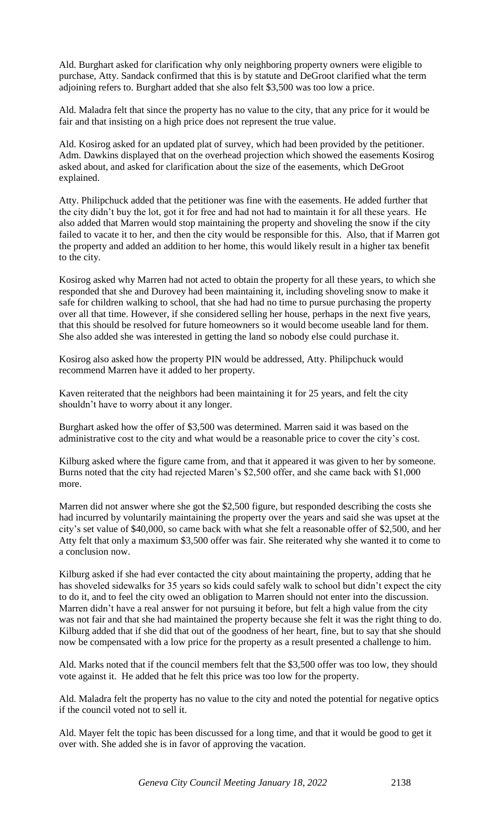Ald. Burghart asked for clarification why only neighboring property owners were eligible to purchase, Atty. Sandack confirmed that this is by statute and DeGroot clarified what the term adjoining refers to. Burghart added that she also felt \$3,500 was too low a price.

Ald. Maladra felt that since the property has no value to the city, that any price for it would be fair and that insisting on a high price does not represent the true value.

Ald. Kosirog asked for an updated plat of survey, which had been provided by the petitioner. Adm. Dawkins displayed that on the overhead projection which showed the easements Kosirog asked about, and asked for clarification about the size of the easements, which DeGroot explained.

Atty. Philipchuck added that the petitioner was fine with the easements. He added further that the city didn't buy the lot, got it for free and had not had to maintain it for all these years. He also added that Marren would stop maintaining the property and shoveling the snow if the city failed to vacate it to her, and then the city would be responsible for this. Also, that if Marren got the property and added an addition to her home, this would likely result in a higher tax benefit to the city.

Kosirog asked why Marren had not acted to obtain the property for all these years, to which she responded that she and Durovey had been maintaining it, including shoveling snow to make it safe for children walking to school, that she had had no time to pursue purchasing the property over all that time. However, if she considered selling her house, perhaps in the next five years, that this should be resolved for future homeowners so it would become useable land for them. She also added she was interested in getting the land so nobody else could purchase it.

Kosirog also asked how the property PIN would be addressed, Atty. Philipchuck would recommend Marren have it added to her property.

Kaven reiterated that the neighbors had been maintaining it for 25 years, and felt the city shouldn't have to worry about it any longer.

Burghart asked how the offer of \$3,500 was determined. Marren said it was based on the administrative cost to the city and what would be a reasonable price to cover the city's cost.

Kilburg asked where the figure came from, and that it appeared it was given to her by someone. Burns noted that the city had rejected Maren's \$2,500 offer, and she came back with \$1,000 more.

Marren did not answer where she got the \$2,500 figure, but responded describing the costs she had incurred by voluntarily maintaining the property over the years and said she was upset at the city's set value of \$40,000, so came back with what she felt a reasonable offer of \$2,500, and her Atty felt that only a maximum \$3,500 offer was fair. She reiterated why she wanted it to come to a conclusion now.

Kilburg asked if she had ever contacted the city about maintaining the property, adding that he has shoveled sidewalks for 35 years so kids could safely walk to school but didn't expect the city to do it, and to feel the city owed an obligation to Marren should not enter into the discussion. Marren didn't have a real answer for not pursuing it before, but felt a high value from the city was not fair and that she had maintained the property because she felt it was the right thing to do. Kilburg added that if she did that out of the goodness of her heart, fine, but to say that she should now be compensated with a low price for the property as a result presented a challenge to him.

Ald. Marks noted that if the council members felt that the \$3,500 offer was too low, they should vote against it. He added that he felt this price was too low for the property.

Ald. Maladra felt the property has no value to the city and noted the potential for negative optics if the council voted not to sell it.

Ald. Mayer felt the topic has been discussed for a long time, and that it would be good to get it over with. She added she is in favor of approving the vacation.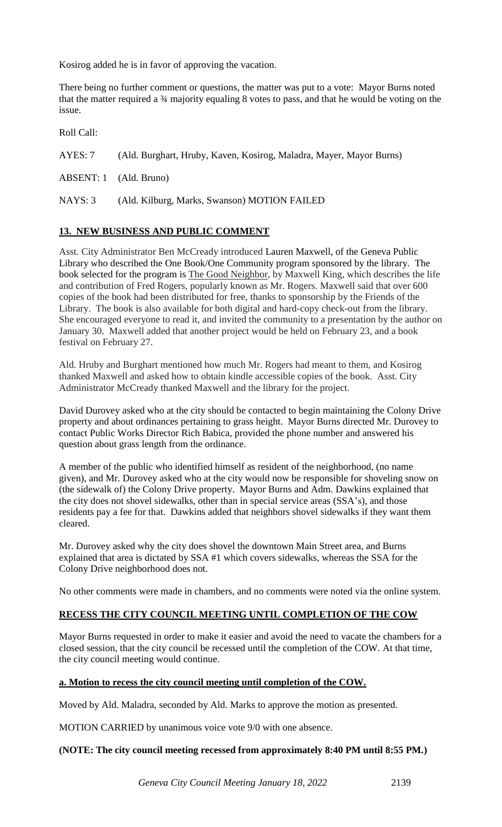Kosirog added he is in favor of approving the vacation.

There being no further comment or questions, the matter was put to a vote: Mayor Burns noted that the matter required a ¾ majority equaling 8 votes to pass, and that he would be voting on the issue.

Roll Call:

AYES: 7 (Ald. Burghart, Hruby, Kaven, Kosirog, Maladra, Mayer, Mayor Burns)

ABSENT: 1 (Ald. Bruno)

NAYS: 3 (Ald. Kilburg, Marks, Swanson) MOTION FAILED

# **13. NEW BUSINESS AND PUBLIC COMMENT**

Asst. City Administrator Ben McCready introduced Lauren Maxwell, of the Geneva Public Library who described the One Book/One Community program sponsored by the library. The book selected for the program is The Good Neighbor, by Maxwell King, which describes the life and contribution of Fred Rogers, popularly known as Mr. Rogers. Maxwell said that over 600 copies of the book had been distributed for free, thanks to sponsorship by the Friends of the Library. The book is also available for both digital and hard-copy check-out from the library. She encouraged everyone to read it, and invited the community to a presentation by the author on January 30. Maxwell added that another project would be held on February 23, and a book festival on February 27.

Ald. Hruby and Burghart mentioned how much Mr. Rogers had meant to them, and Kosirog thanked Maxwell and asked how to obtain kindle accessible copies of the book. Asst. City Administrator McCready thanked Maxwell and the library for the project.

David Durovey asked who at the city should be contacted to begin maintaining the Colony Drive property and about ordinances pertaining to grass height. Mayor Burns directed Mr. Durovey to contact Public Works Director Rich Babica, provided the phone number and answered his question about grass length from the ordinance.

A member of the public who identified himself as resident of the neighborhood, (no name given), and Mr. Durovey asked who at the city would now be responsible for shoveling snow on (the sidewalk of) the Colony Drive property. Mayor Burns and Adm. Dawkins explained that the city does not shovel sidewalks, other than in special service areas (SSA's), and those residents pay a fee for that. Dawkins added that neighbors shovel sidewalks if they want them cleared.

Mr. Durovey asked why the city does shovel the downtown Main Street area, and Burns explained that area is dictated by SSA #1 which covers sidewalks, whereas the SSA for the Colony Drive neighborhood does not.

No other comments were made in chambers, and no comments were noted via the online system.

# **RECESS THE CITY COUNCIL MEETING UNTIL COMPLETION OF THE COW**

Mayor Burns requested in order to make it easier and avoid the need to vacate the chambers for a closed session, that the city council be recessed until the completion of the COW. At that time, the city council meeting would continue.

#### **a. Motion to recess the city council meeting until completion of the COW.**

Moved by Ald. Maladra, seconded by Ald. Marks to approve the motion as presented.

MOTION CARRIED by unanimous voice vote 9/0 with one absence.

#### **(NOTE: The city council meeting recessed from approximately 8:40 PM until 8:55 PM.)**